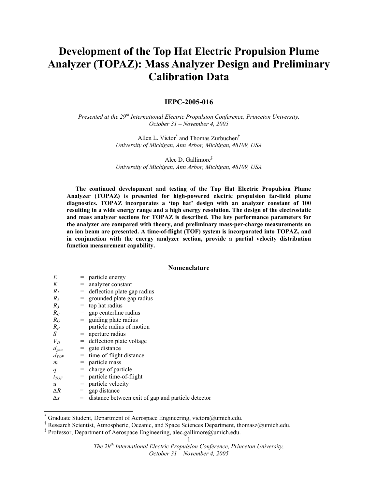# **Development of the Top Hat Electric Propulsion Plume Analyzer (TOPAZ): Mass Analyzer Design and Preliminary Calibration Data**

# **IEPC-2005-016**

*Presented at the 29th International Electric Propulsion Conference, Princeton University, October 31 – November 4, 2005* 

> Allen L. Victor\* and Thomas Zurbuchen† *University of Michigan, Ann Arbor, Michigan, 48109, USA*

> Alec D. Gallimore‡ *University of Michigan, Ann Arbor, Michigan, 48109, USA*

**The continued development and testing of the Top Hat Electric Propulsion Plume Analyzer (TOPAZ) is presented for high-powered electric propulsion far-field plume diagnostics. TOPAZ incorporates a 'top hat' design with an analyzer constant of 100 resulting in a wide energy range and a high energy resolution. The design of the electrostatic and mass analyzer sections for TOPAZ is described. The key performance parameters for the analyzer are compared with theory, and preliminary mass-per-charge measurements on an ion beam are presented. A time-of-flight (TOF) system is incorporated into TOPAZ, and in conjunction with the energy analyzer section, provide a partial velocity distribution function measurement capability.** 

# **Nomenclature**

| E                |     | $=$ particle energy                                |
|------------------|-----|----------------------------------------------------|
| K                | $=$ | analyzer constant                                  |
| $R_I$            |     | $=$ deflection plate gap radius                    |
| R <sub>2</sub>   |     | = grounded plate gap radius                        |
| $R_3$            | $=$ | top hat radius                                     |
| $R_C$            | $=$ | gap centerline radius                              |
| $R_G$            | $=$ | guiding plate radius                               |
| $R_P$            |     | $=$ particle radius of motion                      |
| S                |     | $=$ aperture radius                                |
| $V_D$            |     | $=$ deflection plate voltage                       |
| $d_{gate}$       |     | $=$ gate distance                                  |
| $d_{TOF}$        |     | $=$ time-of-flight distance                        |
| m                |     | $=$ particle mass                                  |
| q                |     | $=$ charge of particle                             |
| $t_{TOF}$        |     | $=$ particle time-of-flight                        |
| $\boldsymbol{u}$ | $=$ | particle velocity                                  |
| ΔR               | $=$ | gap distance                                       |
| $\Delta x$       | $=$ | distance between exit of gap and particle detector |

<sup>\*</sup> Graduate Student, Department of Aerospace Engineering, victora@umich.edu.

 $\overline{a}$ 

<sup>†</sup> Research Scientist, Atmospheric, Oceanic, and Space Sciences Department, thomasz@umich.edu.

<sup>‡</sup> Professor, Department of Aerospace Engineering, alec.gallimore@umich.edu.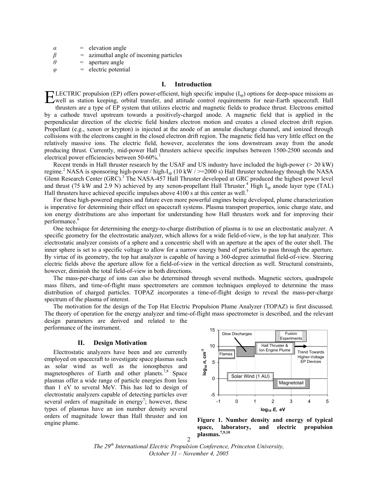- $\alpha$  = elevation angle
- *β =* azimuthal angle of incoming particles
- $\theta$  = aperture angle
- *φ =* electric potential

# **I. Introduction**

LECTRIC propulsion (EP) offers power-efficient, high specific impulse  $(I_{\rm sp})$  options for deep-space missions as **ELECTRIC** propulsion (EP) offers power-efficient, high specific impulse  $(I_{sp})$  options for deep-space missions as a station keeping, orbital transfer, and attitude control requirements for near-Earth spacecraft. Hall

thrusters are a type of EP system that utilizes electric and magnetic fields to produce thrust. Electrons emitted by a cathode travel upstream towards a positively-charged anode. A magnetic field that is applied in the perpendicular direction of the electric field hinders electron motion and creates a closed electron drift region. Propellant (e.g., xenon or krypton) is injected at the anode of an annular discharge channel, and ionized through collisions with the electrons caught in the closed electron drift region. The magnetic field has very little effect on the relatively massive ions. The electric field, however, accelerates the ions downstream away from the anode producing thrust. Currently, mid-power Hall thrusters achieve specific impulses between 1500-2500 seconds and electrical power efficiencies between  $50-60\%$ <sup>1</sup>

Recent trends in Hall thruster research by the USAF and US industry have included the high-power (> 20 kW) regime.<sup>2</sup> NASA is sponsoring high-power / high-I<sub>sp</sub> (10 kW /  $>=$  2000 s) Hall thruster technology through the NASA Glenn Research Center (GRC).<sup>3</sup> The NASA-457 Hall Thruster developed at GRC produced the highest power level and thrust (75 kW and 2.9 N) achieved by any xenon-propellant Hall Thruster.<sup>4</sup> High I<sub>sp</sub> anode layer type (TAL) Hall thrusters have achieved specific impulses above 4100 s at this center as well.<sup>5</sup>

 For these high-powered engines and future even more powerful engines being developed, plume characterization is imperative for determining their effect on spacecraft systems. Plasma transport properties, ionic charge state, and ion energy distributions are also important for understanding how Hall thrusters work and for improving their performance.<sup>6</sup>

 One technique for determining the energy-to-charge distribution of plasma is to use an electrostatic analyzer. A specific geometry for the electrostatic analyzer, which allows for a wide field-of-view, is the top hat analyzer. This electrostatic analyzer consists of a sphere and a concentric shell with an aperture at the apex of the outer shell. The inner sphere is set to a specific voltage to allow for a narrow energy band of particles to pass through the aperture. By virtue of its geometry, the top hat analyzer is capable of having a 360-degree azimuthal field-of-view. Steering electric fields above the aperture allow for a field-of-view in the vertical direction as well. Structural constraints, however, diminish the total field-of-view in both directions.

 The mass-per-charge of ions can also be determined through several methods. Magnetic sectors, quadrupole mass filters, and time-of-flight mass spectrometers are common techniques employed to determine the mass distribution of charged particles. TOPAZ incorporates a time-of-flight design to reveal the mass-per-charge spectrum of the plasma of interest.

 The motivation for the design of the Top Hat Electric Propulsion Plume Analyzer (TOPAZ) is first discussed. The theory of operation for the energy analyzer and time-of-flight mass spectrometer is described, and the relevant design parameters are derived and related to the performance of the instrument.

## **II. Design Motivation**

Electrostatic analyzers have been and are currently employed on spacecraft to investigate space plasmas such as solar wind as well as the ionospheres and magnetospheres of Earth and other planets.<sup>7,8</sup> Space plasmas offer a wide range of particle energies from less than 1 eV to several MeV. This has led to design of electrostatic analyzers capable of detecting particles over several orders of magnitude in energy<sup>7</sup>; however, these types of plasmas have an ion number density several orders of magnitude lower than Hall thruster and ion engine plume.



**Figure 1. Number density and energy of typical space, laboratory, and electric propulsion plasmas.7,9,10**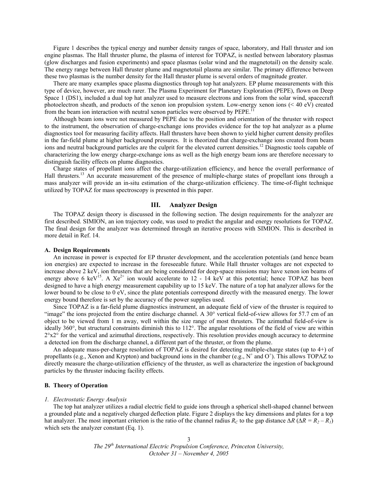Figure 1 describes the typical energy and number density ranges of space, laboratory, and Hall thruster and ion engine plasmas. The Hall thruster plume, the plasma of interest for TOPAZ, is nestled between laboratory plasmas (glow discharges and fusion experiments) and space plasmas (solar wind and the magnetotail) on the density scale. The energy range between Hall thruster plume and magnetotail plasma are similar. The primary difference between these two plasmas is the number density for the Hall thruster plume is several orders of magnitude greater.

There are many examples space plasma diagnostics through top hat analyzers. EP plume measurements with this type of device, however, are much rarer. The Plasma Experiment for Planetary Exploration (PEPE), flown on Deep Space 1 (DS1), included a dual top hat analyzer used to measure electrons and ions from the solar wind, spacecraft photoelectron sheath, and products of the xenon ion propulsion system. Low-energy xenon ions (< 40 eV) created from the beam ion interaction with neutral xenon particles were observed by PEPE.

Although beam ions were not measured by PEPE due to the position and orientation of the thruster with respect to the instrument, the observation of charge-exchange ions provides evidence for the top hat analyzer as a plume diagnostics tool for measuring facility affects. Hall thrusters have been shown to yield higher current density profiles in the far-field plume at higher background pressures. It is theorized that charge-exchange ions created from beam ions and neutral background particles are the culprit for the elevated current densities.<sup>12</sup> Diagnostic tools capable of characterizing the low energy charge-exchange ions as well as the high energy beam ions are therefore necessary to distinguish facility effects on plume diagnostics.

Charge states of propellant ions affect the charge-utilization efficiency, and hence the overall performance of Hall thrusters.<sup>13</sup> An accurate measurement of the presence of multiple-charge states of propellant ions through a mass analyzer will provide an in-situ estimation of the charge-utilization efficiency. The time-of-flight technique utilized by TOPAZ for mass spectroscopy is presented in this paper.

#### **III. Analyzer Design**

The TOPAZ design theory is discussed in the following section. The design requirements for the analyzer are first described. SIMION, an ion trajectory code, was used to predict the angular and energy resolutions for TOPAZ. The final design for the analyzer was determined through an iterative process with SIMION. This is described in more detail in Ref. 14.

#### **A. Design Requirements**

An increase in power is expected for EP thruster development, and the acceleration potentials (and hence beam ion energies) are expected to increase in the foreseeable future. While Hall thruster voltages are not expected to increase above 2 keV, ion thrusters that are being considered for deep-space missions may have xenon ion beams of energy above 6 keV<sup>15</sup>. A  $Xe^{2+}$  ion would accelerate to 12 - 14 keV at this potential; hence TOPAZ has been designed to have a high energy measurement capability up to 15 keV. The nature of a top hat analyzer allows for the lower bound to be close to 0 eV, since the plate potentials correspond directly with the measured energy. The lower energy bound therefore is set by the accuracy of the power supplies used.

 Since TOPAZ is a far-field plume diagnostics instrument, an adequate field of view of the thruster is required to "image" the ions projected from the entire discharge channel. A 30° vertical field-of-view allows for 57.7 cm of an object to be viewed from 1 m away, well within the size range of most thrusters. The azimuthal field-of-view is ideally 360°, but structural constraints diminish this to 112°. The angular resolutions of the field of view are within  $2^{\circ}x2^{\circ}$  for the vertical and azimuthal directions, respectively. This resolution provides enough accuracy to determine a detected ion from the discharge channel, a different part of the thruster, or from the plume.

An adequate mass-per-charge resolution of TOPAZ is desired for detecting multiple-charge states (up to 4+) of propellants (e.g., Xenon and Krypton) and background ions in the chamber (e.g.,  $N^+$  and  $O^+$ ). This allows TOPAZ to directly measure the charge-utilization efficiency of the thruster, as well as characterize the ingestion of background particles by the thruster inducing facility effects.

## **B. Theory of Operation**

# *1. Electrostatic Energy Analysis*

The top hat analyzer utilizes a radial electric field to guide ions through a spherical shell-shaped channel between a grounded plate and a negatively charged deflection plate. Figure 2 displays the key dimensions and plates for a top hat analyzer. The most important criterion is the ratio of the channel radius  $R_C$  to the gap distance  $\Delta R$  ( $\Delta R = R_2 - R_1$ ) which sets the analyzer constant (Eq. 1).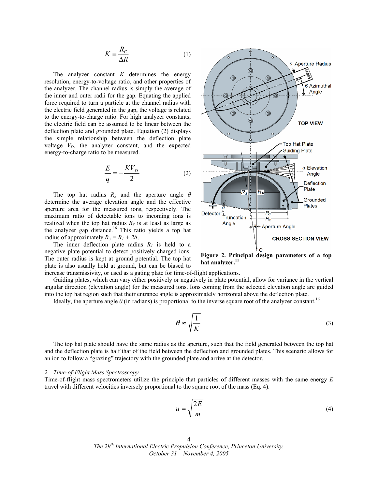$$
K \equiv \frac{R_C}{\Delta R} \tag{1}
$$

 The analyzer constant *K* determines the energy resolution, energy-to-voltage ratio, and other properties of the analyzer. The channel radius is simply the average of the inner and outer radii for the gap. Equating the applied force required to turn a particle at the channel radius with the electric field generated in the gap, the voltage is related to the energy-to-charge ratio. For high analyzer constants, the electric field can be assumed to be linear between the deflection plate and grounded plate. Equation (2) displays the simple relationship between the deflection plate voltage  $V<sub>D</sub>$ , the analyzer constant, and the expected energy-to-charge ratio to be measured.

$$
\frac{E}{q} = -\frac{KV_D}{2} \tag{2}
$$

The top hat radius  $R_3$  and the aperture angle  $\theta$ determine the average elevation angle and the effective aperture area for the measured ions, respectively. The maximum ratio of detectable ions to incoming ions is realized when the top hat radius  $R_3$  is at least as large as the analyzer gap distance.<sup>16</sup> This ratio yields a top hat radius of approximately  $R_3 = R_1 + 2\Delta$ .

The inner deflection plate radius  $R_1$  is held to a negative plate potential to detect positively charged ions. The outer radius is kept at ground potential. The top hat plate is also usually held at ground, but can be biased to



**Figure 2. Principal design parameters of a top hat analyzer.<sup>11</sup>**

increase transmissivity, or used as a gating plate for time-of-flight applications.

 Guiding plates, which can vary either positively or negatively in plate potential, allow for variance in the vertical angular direction (elevation angle) for the measured ions. Ions coming from the selected elevation angle are guided into the top hat region such that their entrance angle is approximately horizontal above the deflection plate.

Ideally, the aperture angle  $\theta$  (in radians) is proportional to the inverse square root of the analyzer constant.<sup>16</sup>

$$
\theta \approx \sqrt{\frac{1}{K}}\tag{3}
$$

 The top hat plate should have the same radius as the aperture, such that the field generated between the top hat and the deflection plate is half that of the field between the deflection and grounded plates. This scenario allows for an ion to follow a "grazing" trajectory with the grounded plate and arrive at the detector.

#### *2. Time-of-Flight Mass Spectroscopy*

Time-of-flight mass spectrometers utilize the principle that particles of different masses with the same energy *E* travel with different velocities inversely proportional to the square root of the mass (Eq. 4).

$$
u = \sqrt{\frac{2E}{m}}
$$
 (4)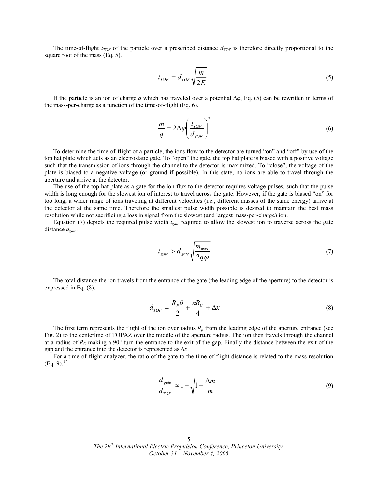The time-of-flight  $t_{TOF}$  of the particle over a prescribed distance  $d_{TOF}$  is therefore directly proportional to the square root of the mass (Eq. 5).

$$
t_{TOF} = d_{TOF} \sqrt{\frac{m}{2E}} \tag{5}
$$

 If the particle is an ion of charge *q* which has traveled over a potential ∆*φ*, Eq. (5) can be rewritten in terms of the mass-per-charge as a function of the time-of-flight (Eq. 6).

$$
\frac{m}{q} = 2\Delta\varphi \left(\frac{t_{TOF}}{d_{TOF}}\right)^2\tag{6}
$$

 To determine the time-of-flight of a particle, the ions flow to the detector are turned "on" and "off" by use of the top hat plate which acts as an electrostatic gate. To "open" the gate, the top hat plate is biased with a positive voltage such that the transmission of ions through the channel to the detector is maximized. To "close", the voltage of the plate is biased to a negative voltage (or ground if possible). In this state, no ions are able to travel through the aperture and arrive at the detector.

 The use of the top hat plate as a gate for the ion flux to the detector requires voltage pulses, such that the pulse width is long enough for the slowest ion of interest to travel across the gate. However, if the gate is biased "on" for too long, a wider range of ions traveling at different velocities (i.e., different masses of the same energy) arrive at the detector at the same time. Therefore the smallest pulse width possible is desired to maintain the best mass resolution while not sacrificing a loss in signal from the slowest (and largest mass-per-charge) ion.

Equation (7) depicts the required pulse width  $t_{gate}$  required to allow the slowest ion to traverse across the gate distance  $d_{gate}$ .

$$
t_{gate} > d_{gate} \sqrt{\frac{m_{\text{max}}}{2q\varphi}}
$$
 (7)

The total distance the ion travels from the entrance of the gate (the leading edge of the aperture) to the detector is expressed in Eq. (8).

$$
d_{TOF} = \frac{R_p \theta}{2} + \frac{\pi R_C}{4} + \Delta x \tag{8}
$$

The first term represents the flight of the ion over radius  $R_p$  from the leading edge of the aperture entrance (see Fig. 2) to the centerline of TOPAZ over the middle of the aperture radius. The ion then travels through the channel at a radius of *RC* making a 90° turn the entrance to the exit of the gap. Finally the distance between the exit of the gap and the entrance into the detector is represented as *∆x*.

For a time-of-flight analyzer, the ratio of the gate to the time-of-flight distance is related to the mass resolution  $(Eq. 9).^{17}$ 

$$
\frac{d_{gate}}{d_{TOF}} \approx 1 - \sqrt{1 - \frac{\Delta m}{m}}
$$
\n(9)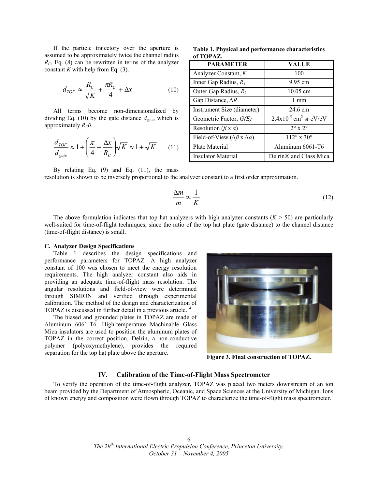If the particle trajectory over the aperture is assumed to be approximately twice the channel radius  $R_C$ , Eq. (8) can be rewritten in terms of the analyzer constant  $K$  with help from Eq. (3).

$$
d_{TOF} \approx \frac{R_C}{\sqrt{K}} + \frac{\pi R_C}{4} + \Delta x \tag{10}
$$

 All terms become non-dimensionalized by dividing Eq. (10) by the gate distance  $d_{gate}$ , which is approximately  $R_C\theta$ .

$$
\frac{d_{TOF}}{d_{gate}} \approx 1 + \left(\frac{\pi}{4} + \frac{\Delta x}{R_C}\right) \sqrt{K} \approx 1 + \sqrt{K} \tag{11}
$$

**Table 1. Physical and performance characteristics of TOPAZ.**

| <b>PARAMETER</b>                                   | VALUE                                  |
|----------------------------------------------------|----------------------------------------|
| Analyzer Constant, K                               | 100                                    |
| Inner Gap Radius, $R_l$                            | 9.95 cm                                |
| Outer Gap Radius, $R_2$                            | 10.05 cm                               |
| Gap Distance, $\Delta R$                           | $1 \text{ mm}$                         |
| Instrument Size (diameter)                         | 24.6 cm                                |
| Geometric Factor, $G(E)$                           | $2.4x10^{-5}$ cm <sup>2</sup> sr eV/eV |
| Resolution ( $\beta$ x $\alpha$ )                  | $2^{\circ}$ x $2^{\circ}$              |
| Field-of-View ( $\Delta \beta$ x $\Delta \alpha$ ) | $112^{\circ}$ x 30 <sup>o</sup>        |
| Plate Material                                     | Aluminum 6061-T6                       |
| Insulator Material                                 | Delrin <sup>®</sup> and Glass Mica     |

By relating Eq. (9) and Eq. (11), the mass

resolution is shown to be inversely proportional to the analyzer constant to a first order approximation.

$$
\frac{\Delta m}{m} \propto \frac{1}{K} \tag{12}
$$

The above formulation indicates that top hat analyzers with high analyzer constants  $(K > 50)$  are particularly well-suited for time-of-flight techniques, since the ratio of the top hat plate (gate distance) to the channel distance (time-of-flight distance) is small.

## **C. Analyzer Design Specifications**

Table 1 describes the design specifications and performance parameters for TOPAZ. A high analyzer constant of 100 was chosen to meet the energy resolution requirements. The high analyzer constant also aids in providing an adequate time-of-flight mass resolution. The angular resolutions and field-of-view were determined through SIMION and verified through experimental calibration. The method of the design and characterization of TOPAZ is discussed in further detail in a previous article.<sup>14</sup>

The biased and grounded plates in TOPAZ are made of Aluminum 6061-T6. High-temperature Machinable Glass Mica insulators are used to position the aluminum plates of TOPAZ in the correct position. Delrin, a non-conductive polymer (polyoxymethylene), provides the required separation for the top hat plate above the aperture.



**Figure 3. Final construction of TOPAZ.**

# **IV. Calibration of the Time-of-Flight Mass Spectrometer**

 To verify the operation of the time-of-flight analyzer, TOPAZ was placed two meters downstream of an ion beam provided by the Department of Atmospheric, Oceanic, and Space Sciences at the University of Michigan. Ions of known energy and composition were flown through TOPAZ to characterize the time-of-flight mass spectrometer.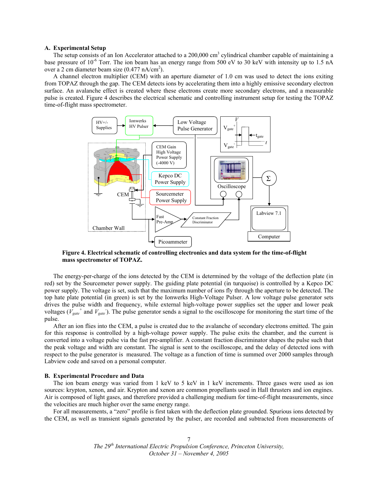## **A. Experimental Setup**

The setup consists of an Ion Accelerator attached to a  $200,000 \text{ cm}^3$  cylindrical chamber capable of maintaining a base pressure of 10<sup>-6</sup> Torr. The ion beam has an energy range from 500 eV to 30 keV with intensity up to 1.5 nA over a 2 cm diameter beam size  $(0.477 \text{ nA/cm}^2)$ .

 A channel electron multiplier (CEM) with an aperture diameter of 1.0 cm was used to detect the ions exiting from TOPAZ through the gap. The CEM detects ions by accelerating them into a highly emissive secondary electron surface. An avalanche effect is created where these electrons create more secondary electrons, and a measurable pulse is created. Figure 4 describes the electrical schematic and controlling instrument setup for testing the TOPAZ time-of-flight mass spectrometer.



**Figure 4. Electrical schematic of controlling electronics and data system for the time-of-flight mass spectrometer of TOPAZ.** 

 The energy-per-charge of the ions detected by the CEM is determined by the voltage of the deflection plate (in red) set by the Sourcemeter power supply. The guiding plate potential (in turquoise) is controlled by a Kepco DC power supply. The voltage is set, such that the maximum number of ions fly through the aperture to be detected. The top hate plate potential (in green) is set by the Ionwerks High-Voltage Pulser. A low voltage pulse generator sets drives the pulse width and frequency, while external high-voltage power supplies set the upper and lower peak voltages ( $V_{gate}$ <sup>+</sup> and  $V_{gate}$ ). The pulse generator sends a signal to the oscilloscope for monitoring the start time of the pulse.

 After an ion flies into the CEM, a pulse is created due to the avalanche of secondary electrons emitted. The gain for this response is controlled by a high-voltage power supply. The pulse exits the chamber, and the current is converted into a voltage pulse via the fast pre-amplifier. A constant fraction discriminator shapes the pulse such that the peak voltage and width are constant. The signal is sent to the oscilloscope, and the delay of detected ions with respect to the pulse generator is measured. The voltage as a function of time is summed over 2000 samples through Labview code and saved on a personal computer.

#### **B. Experimental Procedure and Data**

The ion beam energy was varied from 1 keV to 5 keV in 1 keV increments. Three gases were used as ion sources: krypton, xenon, and air. Krypton and xenon are common propellants used in Hall thrusters and ion engines. Air is composed of light gases, and therefore provided a challenging medium for time-of-flight measurements, since the velocities are much higher over the same energy range.

For all measurements, a "zero" profile is first taken with the deflection plate grounded. Spurious ions detected by the CEM, as well as transient signals generated by the pulser, are recorded and subtracted from measurements of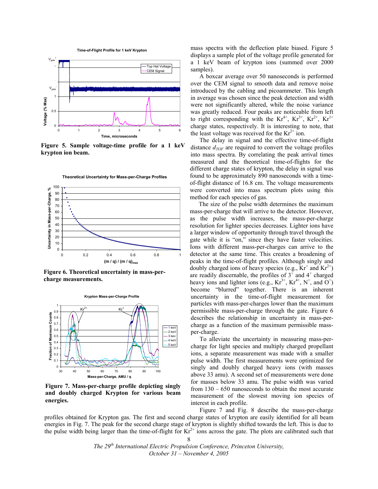**Time-of-Flight Profile for 1 keV Krypton**



**Figure 5. Sample voltage-time profile for a 1 keV krypton ion beam.** 





**Figure 6. Theoretical uncertainty in mass-percharge measurements.** 



**Figure 7. Mass-per-charge profile depicting singly and doubly charged Krypton for various beam energies.** 

mass spectra with the deflection plate biased. Figure 5 displays a sample plot of the voltage profile generated for a 1 keV beam of krypton ions (summed over 2000 samples).

A boxcar average over 50 nanoseconds is performed over the CEM signal to smooth data and remove noise introduced by the cabling and picoammeter. This length in average was chosen since the peak detection and width were not significantly altered, while the noise variance was greatly reduced. Four peaks are noticeable from left to right corresponding with the  $Kr^{4+}$ ,  $Kr^{3+}$ ,  $Kr^{2+}$ ,  $Kr^{1+}$ charge states, respectively. It is interesting to note, that the least voltage was received for the  $Kr^{2+}$  ion.

The delay in signal and the effective time-of-flight distance  $d_{TOF}$  are required to convert the voltage profiles into mass spectra. By correlating the peak arrival times measured and the theoretical time-of-flights for the different charge states of krypton, the delay in signal was found to be approximately 890 nanoseconds with a timeof-flight distance of 16.8 cm. The voltage measurements were converted into mass spectrum plots using this method for each species of gas.

The size of the pulse width determines the maximum mass-per-charge that will arrive to the detector. However, as the pulse width increases, the mass-per-charge resolution for lighter species decreases. Lighter ions have a larger window of opportunity through travel through the gate while it is "on," since they have faster velocities. Ions with different mass-per-charges can arrive to the detector at the same time. This creates a broadening of peaks in the time-of-flight profiles. Although singly and doubly charged ions of heavy species (e.g.,  $Kr^+$  and  $Kr^{2+}$ ) are readily discernable, the profiles of  $3<sup>+</sup>$  and  $4<sup>+</sup>$  charged heavy ions and lighter ions (e.g.,  $Kr^{3+}$ ,  $Kr^{4+}$ ,  $N^{+}$ , and  $O^{+}$ ) become "blurred" together. There is an inherent uncertainty in the time-of-flight measurement for particles with mass-per-charges lower than the maximum permissible mass-per-charge through the gate. Figure 6 describes the relationship in uncertainty in mass-percharge as a function of the maximum permissible massper-charge.

 To alleviate the uncertainty in measuring mass-percharge for light species and multiply charged propellant ions, a separate measurement was made with a smaller pulse width. The first measurements were optimized for singly and doubly charged heavy ions (with masses above 33 amu). A second set of measurements were done for masses below 33 amu. The pulse width was varied from 130 – 650 nanoseconds to obtain the most accurate measurement of the slowest moving ion species of interest in each profile.

 Figure 7 and Fig. 8 describe the mass-per-charge profiles obtained for Krypton gas. The first and second charge states of krypton are easily identified for all beam energies in Fig. 7. The peak for the second charge stage of krypton is slightly shifted towards the left. This is due to the pulse width being larger than the time-of-flight for  $Kr^{2+}$  ions across the gate. The plots are calibrated such that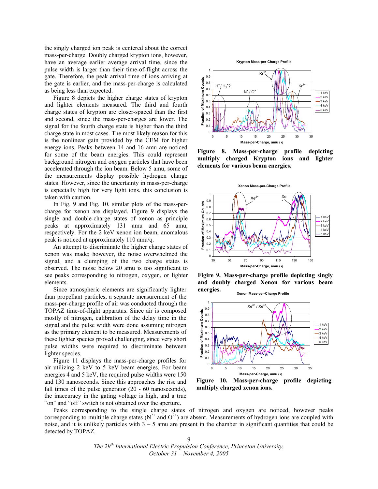the singly charged ion peak is centered about the correct mass-per-charge. Doubly charged krypton ions, however, have an average earlier average arrival time, since the pulse width is larger than their time-of-flight across the gate. Therefore, the peak arrival time of ions arriving at the gate is earlier, and the mass-per-charge is calculated as being less than expected.

 Figure 8 depicts the higher charge states of krypton and lighter elements measured. The third and fourth charge states of krypton are closer-spaced than the first and second, since the mass-per-charges are lower. The signal for the fourth charge state is higher than the third charge state in most cases. The most likely reason for this is the nonlinear gain provided by the CEM for higher energy ions. Peaks between 14 and 16 amu are noticed for some of the beam energies. This could represent background nitrogen and oxygen particles that have been accelerated through the ion beam. Below 5 amu, some of the measurements display possible hydrogen charge states. However, since the uncertainty in mass-per-charge is especially high for very light ions, this conclusion is taken with caution.

 In Fig. 9 and Fig. 10, similar plots of the mass-percharge for xenon are displayed. Figure 9 displays the single and double-charge states of xenon as principle peaks at approximately 131 amu and 65 amu, respectively. For the 2 keV xenon ion beam, anomalous peak is noticed at approximately 110 amu/q.

 An attempt to discriminate the higher charge states of xenon was made; however, the noise overwhelmed the signal, and a clumping of the two charge states is observed. The noise below 20 amu is too significant to see peaks corresponding to nitrogen, oxygen, or lighter elements.

 Since atmospheric elements are significantly lighter than propellant particles, a separate measurement of the mass-per-charge profile of air was conducted through the TOPAZ time-of-flight apparatus. Since air is composed mostly of nitrogen, calibration of the delay time in the signal and the pulse width were done assuming nitrogen as the primary element to be measured. Measurements of these lighter species proved challenging, since very short pulse widths were required to discriminate between lighter species.

 Figure 11 displays the mass-per-charge profiles for air utilizing 2 keV to 5 keV beam energies. For beam energies 4 and 5 keV, the required pulse widths were 150 and 130 nanoseconds. Since this approaches the rise and fall times of the pulse generator (20 - 60 nanoseconds), the inaccuracy in the gating voltage is high, and a true "on" and "off" switch is not obtained over the aperture.



**Figure 8. Mass-per-charge profile depicting multiply charged Krypton ions and lighter elements for various beam energies.**



**Figire 9. Mass-per-charge profile depicting singly and doubly charged Xenon for various beam energies. Xenon Mass-per-Charge Profile**



**Figure 10. Mass-per-charge profile depicting multiply charged xenon ions.**

 Peaks corresponding to the single charge states of nitrogen and oxygen are noticed, however peaks corresponding to multiple charge states ( $N^{2+}$  and  $O^{2+}$ ) are absent. Measurements of hydrogen ions are coupled with noise, and it is unlikely particles with  $3 - 5$  amu are present in the chamber in significant quantities that could be detected by TOPAZ.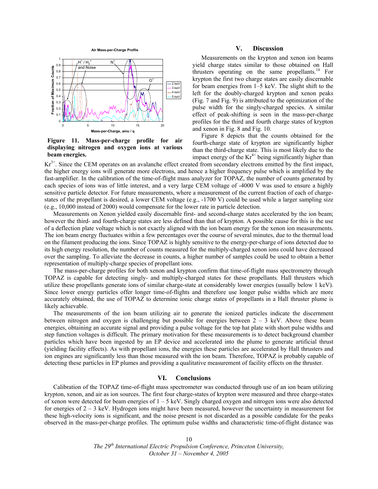



**Figure 11. Mass-per-charge profile for air displaying nitrogen and oxygen ions at various beam energies.**

## **V. Discussion**

Measurements on the krypton and xenon ion beams yield charge states similar to those obtained on Hall thrusters operating on the same propellants.<sup>18</sup> For krypton the first two charge states are easily discernable for beam energies from 1–5 keV. The slight shift to the left for the doubly-charged krypton and xenon peaks (Fig. 7 and Fig. 9) is attributed to the optimization of the pulse width for the singly-charged species. A similar effect of peak-shifting is seen in the mass-per-charge profiles for the third and fourth charge states of krypton and xenon in Fig. 8 and Fig. 10.

Figure 8 depicts that the counts obtained for the fourth-charge state of krypton are significantly higher than the third-charge state. This is most likely due to the impact energy of the  $Kr^{4+}$  being significantly higher than

 $Kr<sup>3+</sup>$ . Since the CEM operates on an avalanche effect created from secondary electrons emitted by the first impact, the higher energy ions will generate more electrons, and hence a higher frequency pulse which is amplified by the fast-amplifier. In the calibration of the time-of-flight mass analyzer for TOPAZ, the number of counts generated by each species of ions was of little interest, and a very large CEM voltage of -4000 V was used to ensure a highly sensitive particle detector. For future measurements, where a measurement of the current fraction of each of chargestates of the propellant is desired, a lower CEM voltage (e.g., -1700 V) could be used while a larger sampling size (e.g., 10,000 instead of 2000) would compensate for the lower rate in particle detection.

Measurements on Xenon yielded easily discernable first- and second-charge states accelerated by the ion beam; however the third- and fourth-charge states are less defined than that of krypton. A possible cause for this is the use of a deflection plate voltage which is not exactly aligned with the ion beam energy for the xenon ion measurements. The ion beam energy fluctuates within a few percentages over the course of several minutes, due to the thermal load on the filament producing the ions. Since TOPAZ is highly sensitive to the energy-per-charge of ions detected due to its high energy resolution, the number of counts measured for the multiply-charged xenon ions could have decreased over the sampling. To alleviate the decrease in counts, a higher number of samples could be used to obtain a better representation of multiply-charge species of propellant ions.

The mass-per-charge profiles for both xenon and krypton confirm that time-of-flight mass spectrometry through TOPAZ is capable for detecting singly- and multiply-charged states for these propellants. Hall thrusters which utilize these propellants generate ions of similar charge-state at considerably lower energies (usually below 1 keV). Since lower energy particles offer longer time-of-flights and therefore use longer pulse widths which are more accurately obtained, the use of TOPAZ to determine ionic charge states of propellants in a Hall thruster plume is likely achievable.

The measurements of the ion beam utilizing air to generate the ionized particles indicate the discernment between nitrogen and oxygen is challenging but possible for energies between  $2 - 3$  keV. Above these beam energies, obtaining an accurate signal and providing a pulse voltage for the top hat plate with short pulse widths and step function voltages is difficult. The primary motivation for these measurements is to detect background chamber particles which have been ingested by an EP device and accelerated into the plume to generate artificial thrust (yielding facility effects). As with propellant ions, the energies these particles are accelerated by Hall thrusters and ion engines are significantly less than those measured with the ion beam. Therefore, TOPAZ is probably capable of detecting these particles in EP plumes and providing a qualitative measurement of facility effects on the thruster.

# **VI. Conclusions**

Calibration of the TOPAZ time-of-flight mass spectrometer was conducted through use of an ion beam utilizing krypton, xenon, and air as ion sources. The first four charge-states of krypton were measured and three charge-states of xenon were detected for beam energies of  $1 - 5$  keV. Singly charged oxygen and nitrogen ions were also detected for energies of 2 – 3 keV. Hydrogen ions might have been measured, however the uncertainty in measurement for these high-velocity ions is significant, and the noise present is not discarded as a possible candidate for the peaks observed in the mass-per-charge profiles. The optimum pulse widths and characteristic time-of-flight distance was